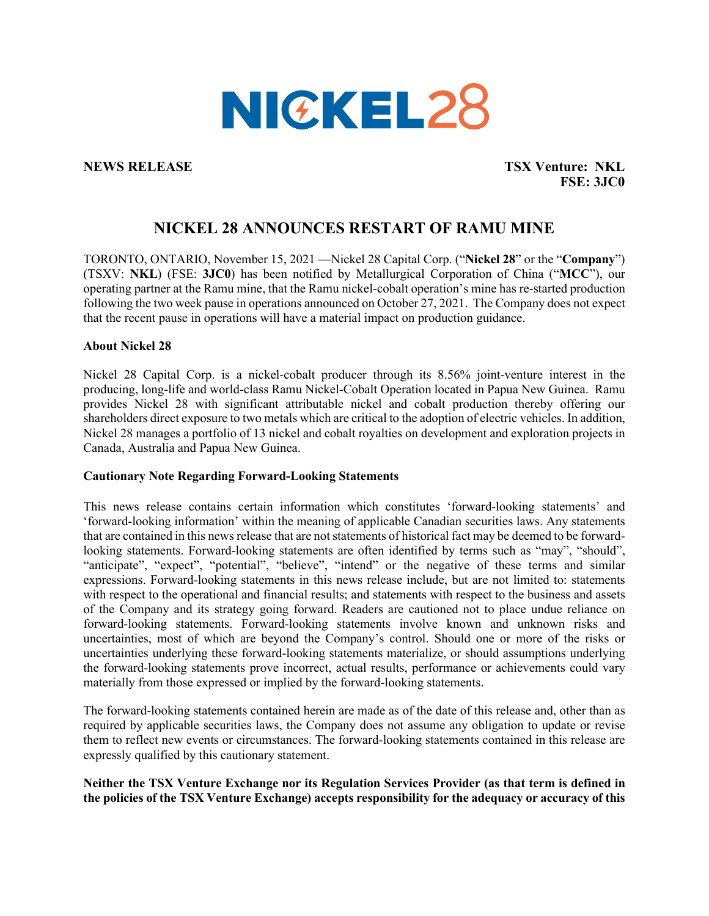

**NEWS RELEASE TSX Venture: NKL FSE: 3JC0**

## **NICKEL 28 ANNOUNCES RESTART OF RAMU MINE**

TORONTO, ONTARIO, November 15, 2021 —Nickel 28 Capital Corp. ("**Nickel 28**" or the "**Company**") (TSXV: **NKL**) (FSE: **3JC0**) has been notified by Metallurgical Corporation of China ("**MCC**"), our operating partner at the Ramu mine, that the Ramu nickel-cobalt operation's mine has re-started production following the two week pause in operations announced on October 27, 2021. The Company does not expect that the recent pause in operations will have a material impact on production guidance.

## **About Nickel 28**

Nickel 28 Capital Corp. is a nickel-cobalt producer through its 8.56% joint-venture interest in the producing, long-life and world-class Ramu Nickel-Cobalt Operation located in Papua New Guinea. Ramu provides Nickel 28 with significant attributable nickel and cobalt production thereby offering our shareholders direct exposure to two metals which are critical to the adoption of electric vehicles. In addition, Nickel 28 manages a portfolio of 13 nickel and cobalt royalties on development and exploration projects in Canada, Australia and Papua New Guinea.

## **Cautionary Note Regarding Forward-Looking Statements**

This news release contains certain information which constitutes 'forward-looking statements' and 'forward-looking information' within the meaning of applicable Canadian securities laws. Any statements that are contained in this news release that are not statements of historical fact may be deemed to be forwardlooking statements. Forward-looking statements are often identified by terms such as "may", "should", "anticipate", "expect", "potential", "believe", "intend" or the negative of these terms and similar expressions. Forward-looking statements in this news release include, but are not limited to: statements with respect to the operational and financial results; and statements with respect to the business and assets of the Company and its strategy going forward. Readers are cautioned not to place undue reliance on forward-looking statements. Forward-looking statements involve known and unknown risks and uncertainties, most of which are beyond the Company's control. Should one or more of the risks or uncertainties underlying these forward-looking statements materialize, or should assumptions underlying the forward-looking statements prove incorrect, actual results, performance or achievements could vary materially from those expressed or implied by the forward-looking statements.

The forward-looking statements contained herein are made as of the date of this release and, other than as required by applicable securities laws, the Company does not assume any obligation to update or revise them to reflect new events or circumstances. The forward-looking statements contained in this release are expressly qualified by this cautionary statement.

**Neither the TSX Venture Exchange nor its Regulation Services Provider (as that term is defined in the policies of the TSX Venture Exchange) accepts responsibility for the adequacy or accuracy of this**